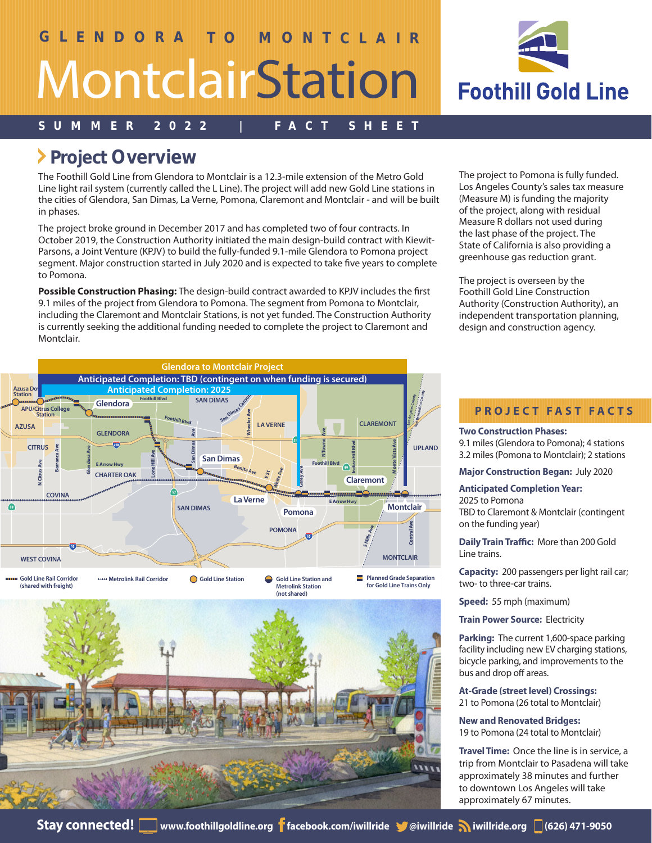

## **SUMMER 2022 | FACT SHEET**

# **Project Overview**

The Foothill Gold Line from Glendora to Montclair is a 12.3-mile extension of the Metro Gold Line light rail system (currently called the L Line). The project will add new Gold Line stations in the cities of Glendora, San Dimas, La Verne, Pomona, Claremont and Montclair - and will be built in phases.

The project broke ground in December 2017 and has completed two of four contracts. In October 2019, the Construction Authority initiated the main design-build contract with Kiewit-Parsons, a Joint Venture (KPJV) to build the fully-funded 9.1-mile Glendora to Pomona project segment. Major construction started in July 2020 and is expected to take five years to complete to Pomona.

**Possible Construction Phasing:** The design-build contract awarded to KPJV includes the first 9.1 miles of the project from Glendora to Pomona. The segment from Pomona to Montclair, including the Claremont and Montclair Stations, is not yet funded. The Construction Authority is currently seeking the additional funding needed to complete the project to Claremont and Montclair.

The project to Pomona is fully funded. Los Angeles County's sales tax measure (Measure M) is funding the majority of the project, along with residual Measure R dollars not used during the last phase of the project. The State of California is also providing a greenhouse gas reduction grant.

The project is overseen by the Foothill Gold Line Construction Authority (Construction Authority), an independent transportation planning, design and construction agency.





## **PROJECT FAST FACTS**

#### **Two Construction Phases:**

9.1 miles (Glendora to Pomona); 4 stations 3.2 miles (Pomona to Montclair); 2 stations

#### **Major Construction Began:** July 2020

### **Anticipated Completion Year:**

2025 to Pomona TBD to Claremont & Montclair (contingent on the funding year)

**Daily Train Traffic:** More than 200 Gold Line trains.

**Capacity:** 200 passengers per light rail car; two- to three-car trains.

**Speed:** 55 mph (maximum)

**Train Power Source:** Electricity

**Parking:** The current 1,600-space parking facility including new EV charging stations, bicycle parking, and improvements to the bus and drop off areas.

**At-Grade (street level) Crossings:**  21 to Pomona (26 total to Montclair)

#### **New and Renovated Bridges:** 19 to Pomona (24 total to Montclair)

**Travel Time:** Once the line is in service, a trip from Montclair to Pasadena will take approximately 38 minutes and further to downtown Los Angeles will take approximately 67 minutes.